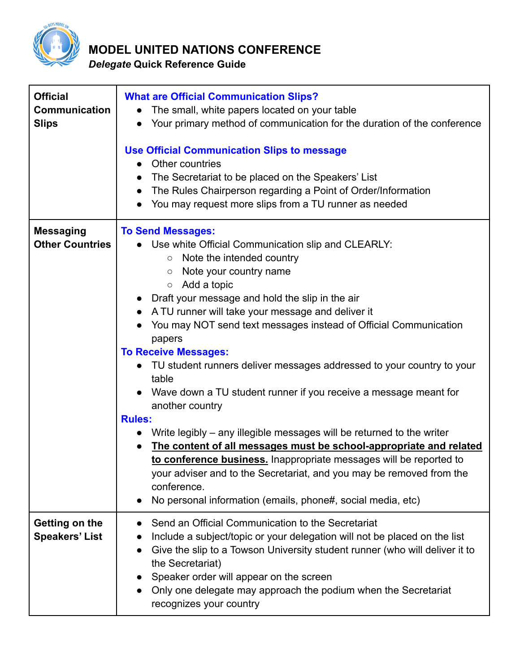

## **MODEL UNITED NATIONS CONFERENCE**

*Delegate* **Quick Reference Guide**

| <b>Official</b>                      | <b>What are Official Communication Slips?</b>                                                                                               |
|--------------------------------------|---------------------------------------------------------------------------------------------------------------------------------------------|
| <b>Communication</b><br><b>Slips</b> | The small, white papers located on your table<br>Your primary method of communication for the duration of the conference                    |
|                                      |                                                                                                                                             |
|                                      | <b>Use Official Communication Slips to message</b><br>Other countries                                                                       |
|                                      | The Secretariat to be placed on the Speakers' List<br>$\bullet$                                                                             |
|                                      | The Rules Chairperson regarding a Point of Order/Information                                                                                |
|                                      | You may request more slips from a TU runner as needed                                                                                       |
| <b>Messaging</b>                     | <b>To Send Messages:</b>                                                                                                                    |
| <b>Other Countries</b>               | Use white Official Communication slip and CLEARLY:<br>Note the intended country<br>$\circ$                                                  |
|                                      | Note your country name<br>O                                                                                                                 |
|                                      | Add a topic<br>$\circ$                                                                                                                      |
|                                      | Draft your message and hold the slip in the air                                                                                             |
|                                      | A TU runner will take your message and deliver it                                                                                           |
|                                      | You may NOT send text messages instead of Official Communication                                                                            |
|                                      | papers<br><b>To Receive Messages:</b>                                                                                                       |
|                                      | TU student runners deliver messages addressed to your country to your                                                                       |
|                                      | table                                                                                                                                       |
|                                      | Wave down a TU student runner if you receive a message meant for                                                                            |
|                                      | another country                                                                                                                             |
|                                      | <b>Rules:</b>                                                                                                                               |
|                                      | Write legibly – any illegible messages will be returned to the writer<br>The content of all messages must be school-appropriate and related |
|                                      | to conference business. Inappropriate messages will be reported to                                                                          |
|                                      | your adviser and to the Secretariat, and you may be removed from the                                                                        |
|                                      | conference.                                                                                                                                 |
|                                      | No personal information (emails, phone#, social media, etc)                                                                                 |
| Getting on the                       | Send an Official Communication to the Secretariat                                                                                           |
| <b>Speakers' List</b>                | Include a subject/topic or your delegation will not be placed on the list                                                                   |
|                                      | Give the slip to a Towson University student runner (who will deliver it to<br>$\bullet$                                                    |
|                                      | the Secretariat)<br>Speaker order will appear on the screen                                                                                 |
|                                      | Only one delegate may approach the podium when the Secretariat                                                                              |
|                                      | recognizes your country                                                                                                                     |